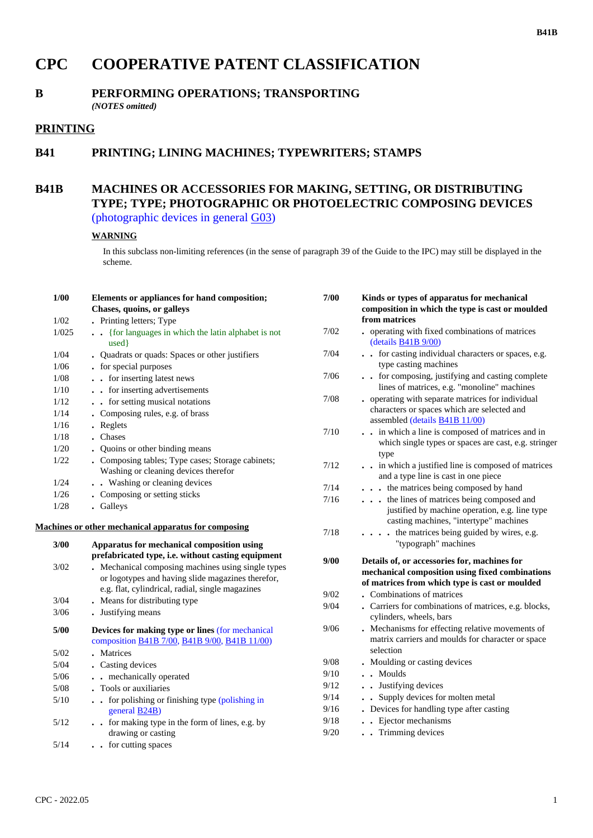# **CPC COOPERATIVE PATENT CLASSIFICATION**

#### **B PERFORMING OPERATIONS; TRANSPORTING** *(NOTES omitted)*

## **PRINTING**

## **B41 PRINTING; LINING MACHINES; TYPEWRITERS; STAMPS**

### **B41B MACHINES OR ACCESSORIES FOR MAKING, SETTING, OR DISTRIBUTING TYPE; TYPE; PHOTOGRAPHIC OR PHOTOELECTRIC COMPOSING DEVICES** (photographic devices in general G03)

#### **WARNING**

In this subclass non-limiting references (in the sense of paragraph 39 of the Guide to the IPC) may still be displayed in the scheme.

| 1/00   | Elements or appliances for hand composition;                                                     | 7/00 | Kinds or types of apparatus for mechanical                                                     |  |
|--------|--------------------------------------------------------------------------------------------------|------|------------------------------------------------------------------------------------------------|--|
|        | Chases, quoins, or galleys                                                                       |      | composition in which the type is cast or moulded                                               |  |
| 1/02   | . Printing letters; Type                                                                         |      | from matrices                                                                                  |  |
| 1/025  | . {for languages in which the latin alphabet is not<br>used }                                    | 7/02 | . operating with fixed combinations of matrices<br>(details B41B 9/00)                         |  |
| 1/04   | • Quadrats or quads: Spaces or other justifiers                                                  | 7/04 | . . for casting individual characters or spaces, e.g.                                          |  |
| 1/06   | - for special purposes                                                                           |      | type casting machines                                                                          |  |
| 1/08   | . . for inserting latest news                                                                    | 7/06 | for composing, justifying and casting complete                                                 |  |
| 1/10   | . . for inserting advertisements                                                                 |      | lines of matrices, e.g. "monoline" machines                                                    |  |
| 1/12   | . . for setting musical notations                                                                | 7/08 | • operating with separate matrices for individual                                              |  |
| 1/14   | • Composing rules, e.g. of brass                                                                 |      | characters or spaces which are selected and                                                    |  |
| 1/16   | . Reglets                                                                                        |      | assembled (details <b>B41B 11/00</b> )                                                         |  |
| 1/18   | . Chases                                                                                         | 7/10 | . . in which a line is composed of matrices and in                                             |  |
| $1/20$ | • Quoins or other binding means                                                                  |      | which single types or spaces are cast, e.g. stringer                                           |  |
| 1/22   | . Composing tables; Type cases; Storage cabinets;                                                | 7/12 | type<br>. . in which a justified line is composed of matrices                                  |  |
|        | Washing or cleaning devices therefor                                                             |      | and a type line is cast in one piece                                                           |  |
| 1/24   | . . Washing or cleaning devices                                                                  | 7/14 | . the matrices being composed by hand                                                          |  |
| 1/26   | • Composing or setting sticks                                                                    | 7/16 | the lines of matrices being composed and                                                       |  |
| 1/28   | . Galleys                                                                                        |      | justified by machine operation, e.g. line type                                                 |  |
|        | <b>Machines or other mechanical apparatus for composing</b>                                      | 7/18 | casting machines, "intertype" machines<br>$\ldots$ is the matrices being guided by wires, e.g. |  |
|        |                                                                                                  |      | "typograph" machines                                                                           |  |
| 3/00   | Apparatus for mechanical composition using<br>prefabricated type, i.e. without casting equipment |      |                                                                                                |  |
| 3/02   | . Mechanical composing machines using single types                                               | 9/00 | Details of, or accessories for, machines for                                                   |  |
|        | or logotypes and having slide magazines therefor,                                                |      | mechanical composition using fixed combinations                                                |  |
|        | e.g. flat, cylindrical, radial, single magazines                                                 |      | of matrices from which type is cast or moulded                                                 |  |
| 3/04   | . Means for distributing type                                                                    | 9/02 | . Combinations of matrices                                                                     |  |
| 3/06   | • Justifying means                                                                               | 9/04 | . Carriers for combinations of matrices, e.g. blocks,                                          |  |
|        |                                                                                                  |      | cylinders, wheels, bars                                                                        |  |
| 5/00   | Devices for making type or lines (for mechanical                                                 | 9/06 | . Mechanisms for effecting relative movements of                                               |  |
|        | composition B41B 7/00, B41B 9/00, B41B 11/00)                                                    |      | matrix carriers and moulds for character or space                                              |  |
| $5/02$ | . Matrices                                                                                       |      | selection                                                                                      |  |
| $5/04$ | . Casting devices                                                                                | 9/08 | • Moulding or casting devices                                                                  |  |
| $5/06$ | . . mechanically operated                                                                        | 9/10 | . . Moulds                                                                                     |  |
| 5/08   | . Tools or auxiliaries                                                                           | 9/12 | . Justifying devices                                                                           |  |
| $5/10$ | for polishing or finishing type (polishing in                                                    | 9/14 | . Supply devices for molten metal                                                              |  |
|        | general $B24B$ )                                                                                 | 9/16 | • Devices for handling type after casting                                                      |  |
| 5/12   | for making type in the form of lines, e.g. by                                                    | 9/18 | Ejector mechanisms                                                                             |  |
|        | drawing or casting                                                                               | 9/20 | . Trimming devices                                                                             |  |
| 5/14   | . . for cutting spaces                                                                           |      |                                                                                                |  |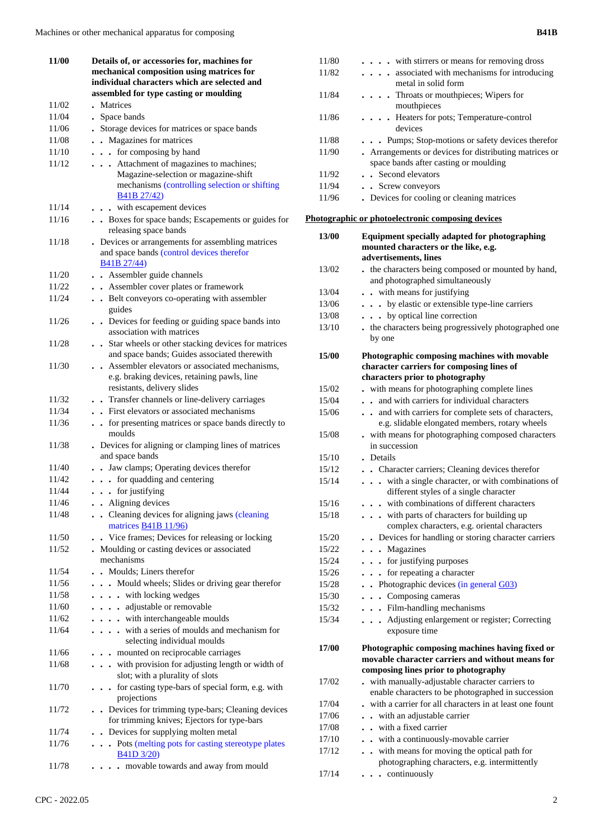| 11/00 | Details of, or accessories for, machines for                                                               |
|-------|------------------------------------------------------------------------------------------------------------|
|       | mechanical composition using matrices for                                                                  |
|       | individual characters which are selected and                                                               |
|       | assembled for type casting or moulding                                                                     |
| 11/02 | Matrices                                                                                                   |
| 11/04 | . Space bands                                                                                              |
| 11/06 | Storage devices for matrices or space bands                                                                |
| 11/08 | Magazines for matrices<br>$\ddot{\phantom{a}}$                                                             |
| 11/10 | . . for composing by hand                                                                                  |
| 11/12 | . Attachment of magazines to machines;                                                                     |
|       | Magazine-selection or magazine-shift                                                                       |
|       | mechanisms (controlling selection or shifting<br>B41B 27/42)                                               |
| 11/14 | . . with escapement devices                                                                                |
| 11/16 | . . Boxes for space bands; Escapements or guides for<br>releasing space bands                              |
| 11/18 | Devices or arrangements for assembling matrices                                                            |
|       | and space bands (control devices therefor<br>B41B 27/44)                                                   |
| 11/20 | . Assembler guide channels                                                                                 |
| 11/22 | • Assembler cover plates or framework                                                                      |
| 11/24 | • Belt conveyors co-operating with assembler                                                               |
|       | guides                                                                                                     |
| 11/26 | Devices for feeding or guiding space bands into<br>association with matrices                               |
| 11/28 |                                                                                                            |
|       | . Star wheels or other stacking devices for matrices<br>and space bands; Guides associated therewith       |
| 11/30 | Assembler elevators or associated mechanisms,                                                              |
|       | e.g. braking devices, retaining pawls, line                                                                |
|       | resistants, delivery slides                                                                                |
| 11/32 | . Transfer channels or line-delivery carriages                                                             |
| 11/34 | First elevators or associated mechanisms                                                                   |
| 11/36 | . . for presenting matrices or space bands directly to<br>moulds                                           |
| 11/38 | Devices for aligning or clamping lines of matrices<br>and space bands                                      |
| 11/40 | . . Jaw clamps; Operating devices therefor                                                                 |
| 11/42 | $\cdots$ for quadding and centering                                                                        |
| 11/44 | $\cdots$ for justifying                                                                                    |
| 11/46 | • Aligning devices                                                                                         |
| 11/48 | • Cleaning devices for aligning jaws (cleaning<br>matrices <b>B41B</b> 11/96)                              |
| 11/50 | . Vice frames; Devices for releasing or locking                                                            |
| 11/52 | . Moulding or casting devices or associated                                                                |
|       | mechanisms                                                                                                 |
| 11/54 | . Moulds: Liners therefor                                                                                  |
| 11/56 | . Mould wheels; Slides or driving gear therefor                                                            |
| 11/58 | . with locking wedges                                                                                      |
| 11/60 | . . adjustable or removable                                                                                |
| 11/62 | . with interchangeable moulds                                                                              |
| 11/64 | with a series of moulds and mechanism for<br>selecting individual moulds                                   |
| 11/66 | mounted on reciprocable carriages                                                                          |
| 11/68 | with provision for adjusting length or width of<br>$\ddot{\phantom{1}}$<br>slot; with a plurality of slots |
| 11/70 | for casting type-bars of special form, e.g. with<br>$\ddot{\phantom{0}}$<br>projections                    |
| 11/72 | Devices for trimming type-bars; Cleaning devices<br>for trimming knives; Ejectors for type-bars            |
| 11/74 | Devices for supplying molten metal<br>$\ddot{\phantom{a}}$                                                 |
| 11/76 | Pots (melting pots for casting stereotype plates                                                           |
|       | <b>B41D 3/20)</b>                                                                                          |
| 11/78 | movable towards and away from mould                                                                        |

| 11/80<br>11/82 | with stirrers or means for removing dross<br>. associated with mechanisms for introducing |
|----------------|-------------------------------------------------------------------------------------------|
|                | metal in solid form                                                                       |
| 11/84          |                                                                                           |
|                | . Throats or mouthpieces; Wipers for<br>mouthpieces                                       |
| 11/86          | . Heaters for pots; Temperature-control                                                   |
|                | devices                                                                                   |
| 11/88          | . Pumps; Stop-motions or safety devices therefor                                          |
| 11/90          | Arrangements or devices for distributing matrices or                                      |
|                | space bands after casting or moulding                                                     |
| 11/92          | • Second elevators                                                                        |
| 11/94          | . Screw conveyors                                                                         |
| 11/96          | . Devices for cooling or cleaning matrices                                                |
|                | Photographic or photoelectronic composing devices                                         |
| 13/00          | Equipment specially adapted for photographing                                             |
|                | mounted characters or the like, e.g.                                                      |
|                | advertisements, lines                                                                     |
| 13/02          | . the characters being composed or mounted by hand,                                       |
|                | and photographed simultaneously                                                           |
| 13/04          | . . with means for justifying                                                             |
| 13/06          | . by elastic or extensible type-line carriers                                             |
| 13/08          | by optical line correction                                                                |
| 13/10          | . the characters being progressively photographed one                                     |
|                | by one                                                                                    |
|                |                                                                                           |
| 15/00          | Photographic composing machines with movable<br>character carriers for composing lines of |
|                | characters prior to photography                                                           |
| 15/02          | with means for photographing complete lines                                               |
| 15/04          | . . and with carriers for individual characters                                           |
| 15/06          | . . and with carriers for complete sets of characters,                                    |
|                | e.g. slidable elongated members, rotary wheels                                            |
| 15/08          | . with means for photographing composed characters                                        |
|                | in succession                                                                             |
| 15/10          | . Details                                                                                 |
| 15/12          | . Character carriers; Cleaning devices therefor                                           |
| 15/14          | . with a single character, or with combinations of                                        |
|                | different styles of a single character                                                    |
| 15/16          | with combinations of different characters                                                 |
| 15/18          | with parts of characters for building up<br>$\ddot{\phantom{0}}$                          |
|                | complex characters, e.g. oriental characters                                              |
| 15/20          | . Devices for handling or storing character carriers                                      |
| 15/22          | Magazines<br>$\ddot{\phantom{0}}$                                                         |
| 15/24          | . . for justifying purposes                                                               |
| 15/26          | for repeating a character<br>$\ddot{\phantom{0}}$<br>$\ddot{\phantom{0}}$                 |
| 15/28          | $\bullet$ Photographic devices (in general $G(03)$                                        |
| 15/30          | • Composing cameras<br>$\blacksquare$                                                     |
| 15/32          | . Film-handling mechanisms                                                                |
| 15/34          | Adjusting enlargement or register; Correcting                                             |
|                | exposure time                                                                             |
| 17/00          | Photographic composing machines having fixed or                                           |
|                | movable character carriers and without means for                                          |
|                | composing lines prior to photography                                                      |
| 17/02          | with manually-adjustable character carriers to                                            |
|                | enable characters to be photographed in succession                                        |
| 17/04          | with a carrier for all characters in at least one fount                                   |
| 17/06          | - with an adjustable carrier                                                              |
| 17/08          | . with a fixed carrier                                                                    |
| 17/10          | - with a continuously-movable carrier                                                     |
| 17/12          | . with means for moving the optical path for                                              |
|                | photographing characters, e.g. intermittently                                             |
| 17/14          | • continuously                                                                            |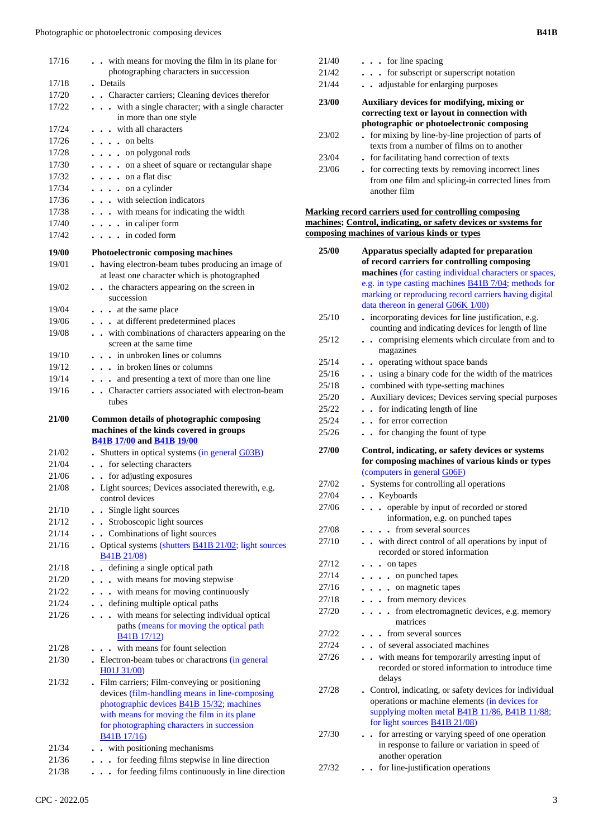| 17/16          | with means for moving the film in its plane for<br>photographing characters in succession                               |
|----------------|-------------------------------------------------------------------------------------------------------------------------|
| 17/18          | . Details                                                                                                               |
| 17/20          | . Character carriers; Cleaning devices therefor                                                                         |
| 17/22          | with a single character; with a single character<br>$\cdots$<br>in more than one style                                  |
| 17/24          | . . with all characters                                                                                                 |
| 17/26          | $\ldots$ on belts                                                                                                       |
| 17/28          | $\cdots$ on polygonal rods                                                                                              |
| 17/30          | on a sheet of square or rectangular shape                                                                               |
| 17/32          | $\cdots$ on a flat disc                                                                                                 |
| 17/34          | $\cdots$ on a cylinder                                                                                                  |
| 17/36          | . with selection indicators                                                                                             |
| 17/38          | . with means for indicating the width                                                                                   |
| 17/40          | $\cdots$ in caliper form                                                                                                |
| 17/42          | $\ldots$ in coded form                                                                                                  |
|                |                                                                                                                         |
| 19/00          | Photoelectronic composing machines                                                                                      |
| 19/01          | . having electron-beam tubes producing an image of<br>at least one character which is photographed                      |
| 19/02          | the characters appearing on the screen in<br>$\ddot{\phantom{0}}$                                                       |
|                | succession                                                                                                              |
| 19/04          | . at the same place                                                                                                     |
| 19/06          | . at different predetermined places                                                                                     |
| 19/08          | with combinations of characters appearing on the<br>screen at the same time                                             |
| 19/10          | . in unbroken lines or columns                                                                                          |
| 19/12          | . . in broken lines or columns                                                                                          |
| 19/14          | and presenting a text of more than one line                                                                             |
| 19/16          | Character carriers associated with electron-beam                                                                        |
|                | tubes                                                                                                                   |
|                |                                                                                                                         |
| 21/00          | Common details of photographic composing<br>machines of the kinds covered in groups<br><b>B41B 17/00 and B41B 19/00</b> |
| 21/02          |                                                                                                                         |
| 21/04          | . Shutters in optical systems (in general G03B)<br>$\ddot{\phantom{0}}$                                                 |
| 21/06          | for selecting characters<br>$\ddot{\phantom{0}}$                                                                        |
| 21/08          | for adjusting exposures<br>. Light sources; Devices associated therewith, e.g.                                          |
|                | control devices<br>$\mathbf{r}$                                                                                         |
| 21/10          | Single light sources                                                                                                    |
| 21/12          | . Stroboscopic light sources                                                                                            |
| 21/14          | . Combinations of light sources                                                                                         |
| 21/16          | . Optical systems (shutters B41B 21/02; light sources<br>B41B 21/08)                                                    |
| 21/18          | defining a single optical path<br>$\ddot{\phantom{a}}$                                                                  |
| 21/20          | . . with means for moving stepwise                                                                                      |
| 21/22          | . with means for moving continuously                                                                                    |
| 21/24          | . . defining multiple optical paths                                                                                     |
| 21/26          | with means for selecting individual optical<br>.                                                                        |
|                | paths (means for moving the optical path<br><b>B41B 17/12</b> )                                                         |
| 21/28          | . with means for fount selection                                                                                        |
| 21/30          | . Electron-beam tubes or charactrons (in general                                                                        |
| 21/32          | H01J 31/00)<br>. Film carriers; Film-conveying or positioning<br>devices (film-handling means in line-composing         |
|                | photographic devices <b>B41B 15/32</b> ; machines                                                                       |
|                | with means for moving the film in its plane                                                                             |
|                | for photographing characters in succession                                                                              |
|                | B41B 17/16)                                                                                                             |
| 21/34<br>21/36 | . . with positioning mechanisms<br>for feeding films stepwise in line direction<br>$\cdots$                             |

21/38 **. . .** for feeding films continuously in line direction

| $\cdots$ for line spacing                                                                                                               |
|-----------------------------------------------------------------------------------------------------------------------------------------|
| for subscript or superscript notation                                                                                                   |
| adjustable for enlarging purposes                                                                                                       |
| Auxiliary devices for modifying, mixing or<br>correcting text or layout in connection with<br>photographic or photoelectronic composing |
| . for mixing by line-by-line projection of parts of<br>texts from a number of films on to another                                       |
| . for facilitating hand correction of texts                                                                                             |
| • for correcting texts by removing incorrect lines<br>from one film and splicing-in corrected lines from<br>another film                |
|                                                                                                                                         |

#### **Marking record carriers used for controlling composing machines; Control, indicating, or safety devices or systems for composing machines of various kinds or types**

| 25/00 | Apparatus specially adapted for preparation                                                                                                                                                                  |
|-------|--------------------------------------------------------------------------------------------------------------------------------------------------------------------------------------------------------------|
|       | of record carriers for controlling composing                                                                                                                                                                 |
|       | machines (for casting individual characters or spaces,                                                                                                                                                       |
|       | e.g. in type casting machines $\underline{B41B}$ 7/04; methods for                                                                                                                                           |
|       | marking or reproducing record carriers having digital                                                                                                                                                        |
|       | data thereon in general G06K 1/00)                                                                                                                                                                           |
| 25/10 | . incorporating devices for line justification, e.g.                                                                                                                                                         |
|       | counting and indicating devices for length of line                                                                                                                                                           |
| 25/12 | comprising elements which circulate from and to<br>$\ddot{\phantom{a}}$<br>magazines                                                                                                                         |
| 25/14 | operating without space bands<br>$\ddot{\phantom{0}}$                                                                                                                                                        |
| 25/16 | . using a binary code for the width of the matrices                                                                                                                                                          |
| 25/18 | combined with type-setting machines                                                                                                                                                                          |
| 25/20 | Auxiliary devices; Devices serving special purposes                                                                                                                                                          |
| 25/22 | for indicating length of line                                                                                                                                                                                |
| 25/24 | for error correction                                                                                                                                                                                         |
| 25/26 | for changing the fount of type                                                                                                                                                                               |
| 27/00 | Control, indicating, or safety devices or systems                                                                                                                                                            |
|       | for composing machines of various kinds or types                                                                                                                                                             |
|       | (computers in general G06F)                                                                                                                                                                                  |
| 27/02 | Systems for controlling all operations                                                                                                                                                                       |
| 27/04 | . . Keyboards                                                                                                                                                                                                |
| 27/06 | operable by input of recorded or stored<br>$\ddot{\phantom{0}}$<br>information, e.g. on punched tapes                                                                                                        |
| 27/08 | from several sources                                                                                                                                                                                         |
| 27/10 | with direct control of all operations by input of                                                                                                                                                            |
|       | recorded or stored information                                                                                                                                                                               |
| 27/12 | . on tapes                                                                                                                                                                                                   |
| 27/14 | on punched tapes                                                                                                                                                                                             |
| 27/16 | . . on magnetic tapes                                                                                                                                                                                        |
| 27/18 | . . from memory devices                                                                                                                                                                                      |
| 27/20 | from electromagnetic devices, e.g. memory<br>$\ddot{\phantom{0}}$<br>$\bullet$<br>matrices                                                                                                                   |
| 27/22 | from several sources                                                                                                                                                                                         |
| 27/24 | of several associated machines                                                                                                                                                                               |
| 27/26 | with means for temporarily arresting input of<br>$\ddot{\phantom{a}}$<br>recorded or stored information to introduce time<br>delays                                                                          |
| 27/28 | . Control, indicating, or safety devices for individual<br>operations or machine elements (in devices for<br>supplying molten metal <b>B41B 11/86</b> , <b>B41B 11/88</b> ;<br>for light sources B41B 21/08) |
| 27/30 | for arresting or varying speed of one operation<br>in response to failure or variation in speed of<br>another operation                                                                                      |
| 27/32 | for line-justification operations                                                                                                                                                                            |
|       |                                                                                                                                                                                                              |